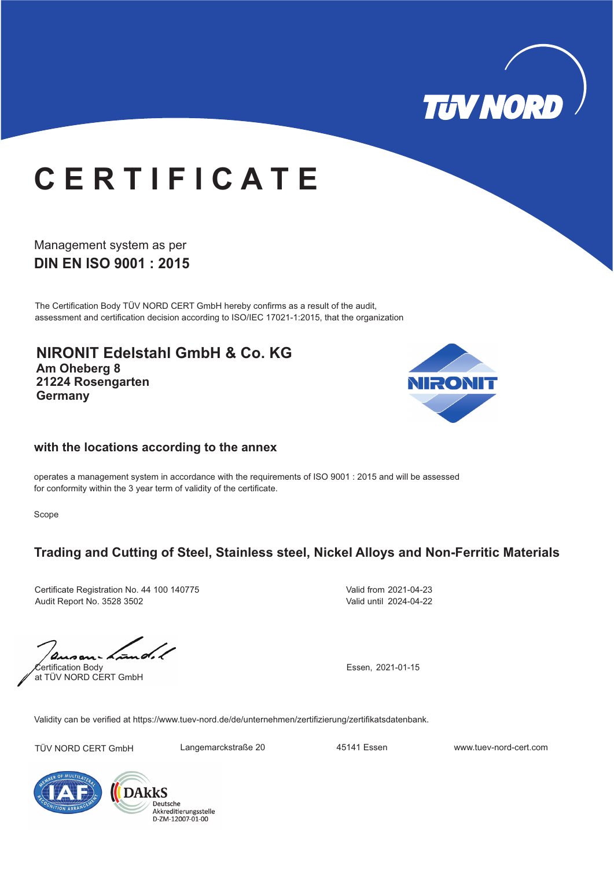

# **C E R T I F I C A T E**

### **DIN EN ISO 9001 : 2015** Management system as per

The Certification Body TÜV NORD CERT GmbH hereby confirms as a result of the audit, assessment and certification decision according to ISO/IEC 17021-1:2015, that the organization

**NIRONIT Edelstahl GmbH & Co. KG Am Oheberg 8 21224 Rosengarten Germany**



#### **with the locations according to the annex**

operates a management system in accordance with the requirements of ISO 9001 : 2015 and will be assessed for conformity within the 3 year term of validity of the certificate.

Scope

## **Trading and Cutting of Steel, Stainless steel, Nickel Alloys and Non-Ferritic Materials**

Certificate Registration No. 44 100 140775 Audit Report No. 3528 3502

Valid from 2021-04-23 Valid until 2024-04-22

Certification Body at TÜV NORD CERT GmbH

Essen, 2021-01-15

Validity can be verified at https://www.tuev-nord.de/de/unternehmen/zertifizierung/zertifikatsdatenbank.

TÜV NORD CERT GmbH Langemarckstraße 20 45141 Essen www.tuev-nord-cert.com